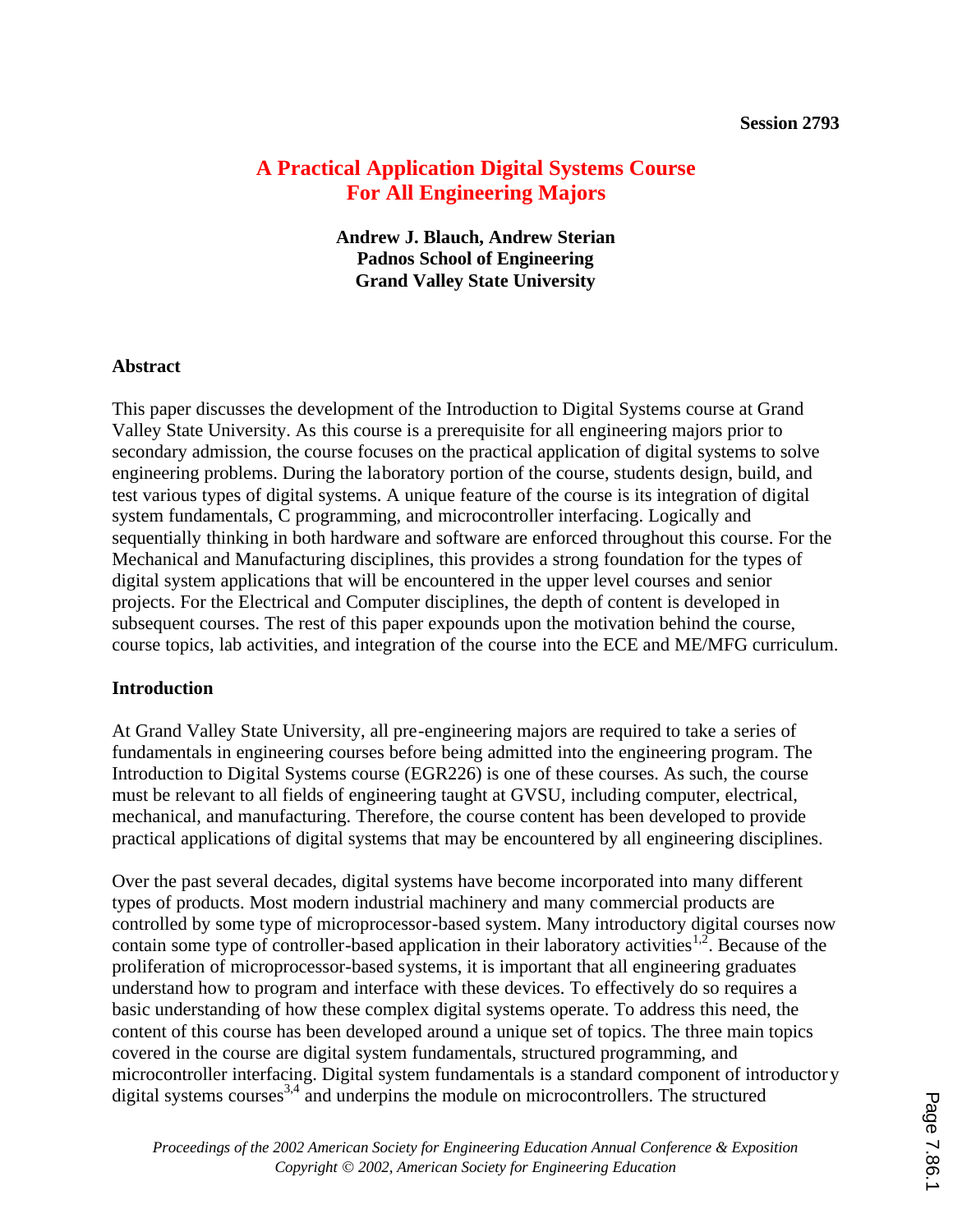# **A Practical Application Digital Systems Course For All Engineering Majors**

**Andrew J. Blauch, Andrew Sterian Padnos School of Engineering Grand Valley State University**

### **Abstract**

This paper discusses the development of the Introduction to Digital Systems course at Grand Valley State University. As this course is a prerequisite for all engineering majors prior to secondary admission, the course focuses on the practical application of digital systems to solve engineering problems. During the laboratory portion of the course, students design, build, and test various types of digital systems. A unique feature of the course is its integration of digital system fundamentals, C programming, and microcontroller interfacing. Logically and sequentially thinking in both hardware and software are enforced throughout this course. For the Mechanical and Manufacturing disciplines, this provides a strong foundation for the types of digital system applications that will be encountered in the upper level courses and senior projects. For the Electrical and Computer disciplines, the depth of content is developed in subsequent courses. The rest of this paper expounds upon the motivation behind the course, course topics, lab activities, and integration of the course into the ECE and ME/MFG curriculum.

### **Introduction**

At Grand Valley State University, all pre-engineering majors are required to take a series of fundamentals in engineering courses before being admitted into the engineering program. The Introduction to Digital Systems course (EGR226) is one of these courses. As such, the course must be relevant to all fields of engineering taught at GVSU, including computer, electrical, mechanical, and manufacturing. Therefore, the course content has been developed to provide practical applications of digital systems that may be encountered by all engineering disciplines.

Over the past several decades, digital systems have become incorporated into many different types of products. Most modern industrial machinery and many commercial products are controlled by some type of microprocessor-based system. Many introductory digital courses now contain some type of controller-based application in their laboratory activities<sup>1,2</sup>. Because of the proliferation of microprocessor-based systems, it is important that all engineering graduates understand how to program and interface with these devices. To effectively do so requires a basic understanding of how these complex digital systems operate. To address this need, the content of this course has been developed around a unique set of topics. The three main topics covered in the course are digital system fundamentals, structured programming, and microcontroller interfacing. Digital system fundamentals is a standard component of introductor y digital systems courses<sup>3,4</sup> and underpins the module on microcontrollers. The structured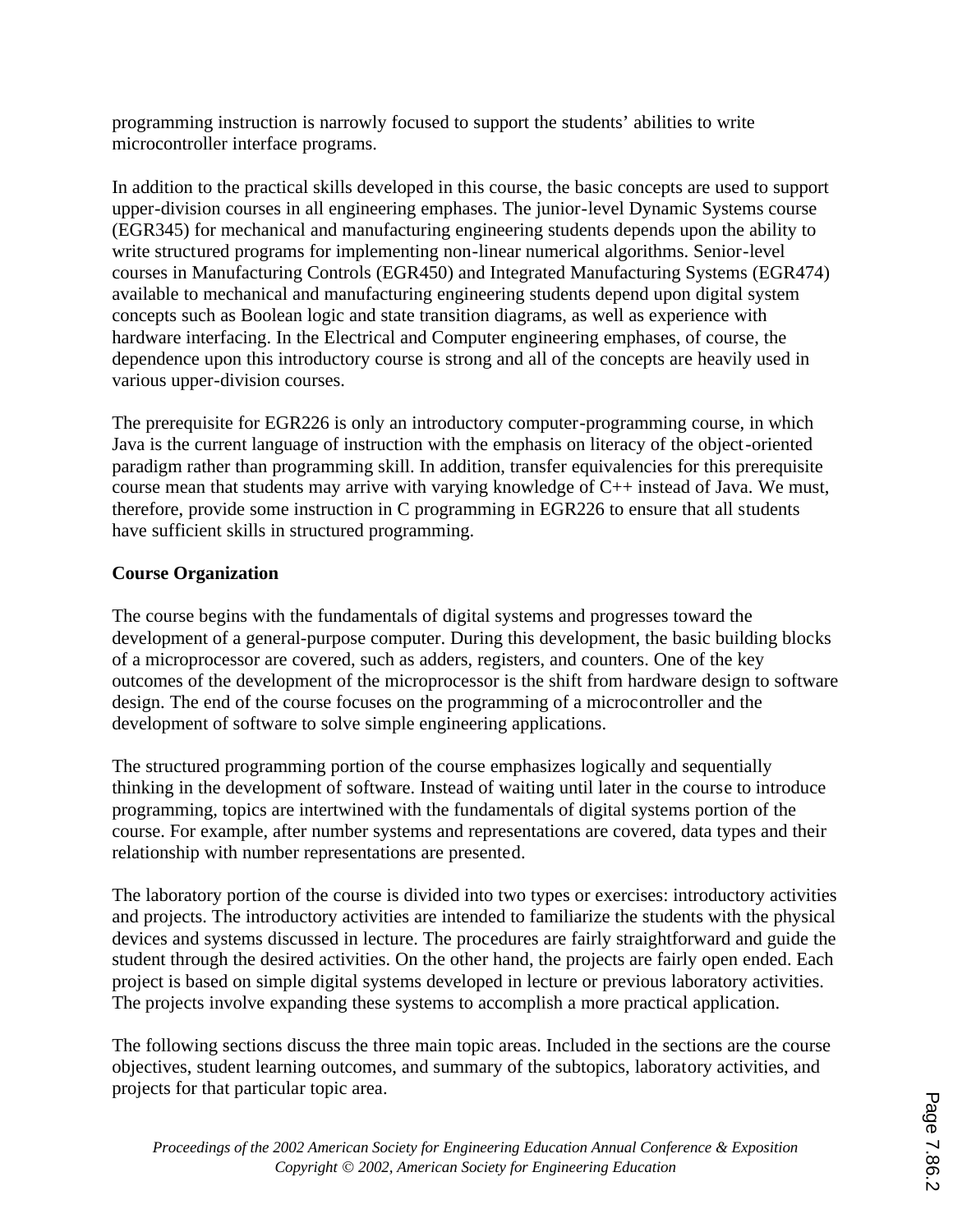programming instruction is narrowly focused to support the students' abilities to write microcontroller interface programs.

In addition to the practical skills developed in this course, the basic concepts are used to support upper-division courses in all engineering emphases. The junior-level Dynamic Systems course (EGR345) for mechanical and manufacturing engineering students depends upon the ability to write structured programs for implementing non-linear numerical algorithms. Senior-level courses in Manufacturing Controls (EGR450) and Integrated Manufacturing Systems (EGR474) available to mechanical and manufacturing engineering students depend upon digital system concepts such as Boolean logic and state transition diagrams, as well as experience with hardware interfacing. In the Electrical and Computer engineering emphases, of course, the dependence upon this introductory course is strong and all of the concepts are heavily used in various upper-division courses.

The prerequisite for EGR226 is only an introductory computer-programming course, in which Java is the current language of instruction with the emphasis on literacy of the object-oriented paradigm rather than programming skill. In addition, transfer equivalencies for this prerequisite course mean that students may arrive with varying knowledge of C++ instead of Java. We must, therefore, provide some instruction in C programming in EGR226 to ensure that all students have sufficient skills in structured programming.

# **Course Organization**

The course begins with the fundamentals of digital systems and progresses toward the development of a general-purpose computer. During this development, the basic building blocks of a microprocessor are covered, such as adders, registers, and counters. One of the key outcomes of the development of the microprocessor is the shift from hardware design to software design. The end of the course focuses on the programming of a microcontroller and the development of software to solve simple engineering applications.

The structured programming portion of the course emphasizes logically and sequentially thinking in the development of software. Instead of waiting until later in the course to introduce programming, topics are intertwined with the fundamentals of digital systems portion of the course. For example, after number systems and representations are covered, data types and their relationship with number representations are presented.

The laboratory portion of the course is divided into two types or exercises: introductory activities and projects. The introductory activities are intended to familiarize the students with the physical devices and systems discussed in lecture. The procedures are fairly straightforward and guide the student through the desired activities. On the other hand, the projects are fairly open ended. Each project is based on simple digital systems developed in lecture or previous laboratory activities. The projects involve expanding these systems to accomplish a more practical application.

The following sections discuss the three main topic areas. Included in the sections are the course objectives, student learning outcomes, and summary of the subtopics, laboratory activities, and projects for that particular topic area.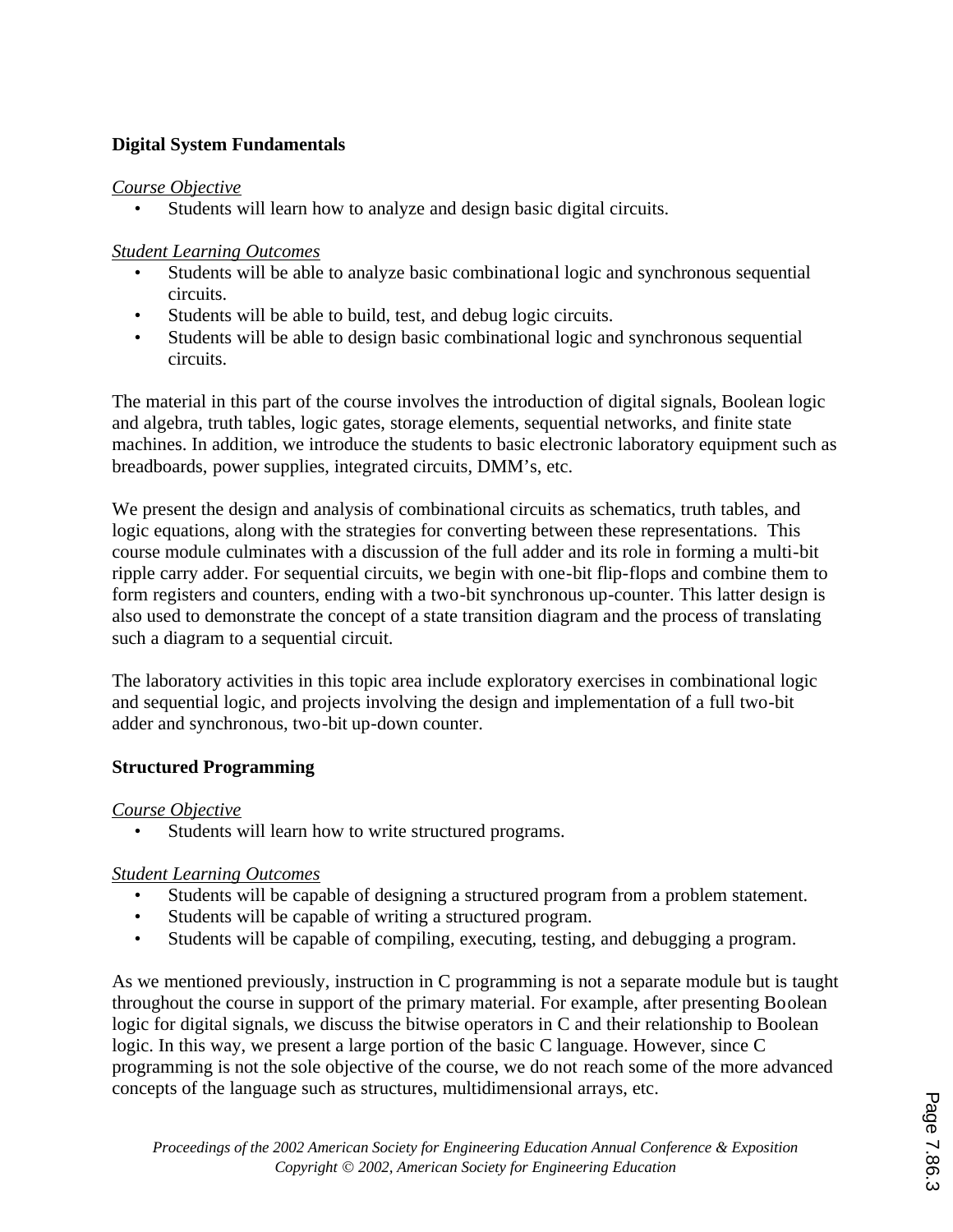## **Digital System Fundamentals**

### *Course Objective*

Students will learn how to analyze and design basic digital circuits.

## *Student Learning Outcomes*

- Students will be able to analyze basic combinational logic and synchronous sequential circuits.
- Students will be able to build, test, and debug logic circuits.
- Students will be able to design basic combinational logic and synchronous sequential circuits.

The material in this part of the course involves the introduction of digital signals, Boolean logic and algebra, truth tables, logic gates, storage elements, sequential networks, and finite state machines. In addition, we introduce the students to basic electronic laboratory equipment such as breadboards, power supplies, integrated circuits, DMM's, etc.

We present the design and analysis of combinational circuits as schematics, truth tables, and logic equations, along with the strategies for converting between these representations. This course module culminates with a discussion of the full adder and its role in forming a multi-bit ripple carry adder. For sequential circuits, we begin with one-bit flip-flops and combine them to form registers and counters, ending with a two-bit synchronous up-counter. This latter design is also used to demonstrate the concept of a state transition diagram and the process of translating such a diagram to a sequential circuit.

The laboratory activities in this topic area include exploratory exercises in combinational logic and sequential logic, and projects involving the design and implementation of a full two-bit adder and synchronous, two-bit up-down counter.

# **Structured Programming**

### *Course Objective*

Students will learn how to write structured programs.

### *Student Learning Outcomes*

- Students will be capable of designing a structured program from a problem statement.
- Students will be capable of writing a structured program.
- Students will be capable of compiling, executing, testing, and debugging a program.

As we mentioned previously, instruction in C programming is not a separate module but is taught throughout the course in support of the primary material. For example, after presenting Boolean logic for digital signals, we discuss the bitwise operators in C and their relationship to Boolean logic. In this way, we present a large portion of the basic C language. However, since C programming is not the sole objective of the course, we do not reach some of the more advanced concepts of the language such as structures, multidimensional arrays, etc.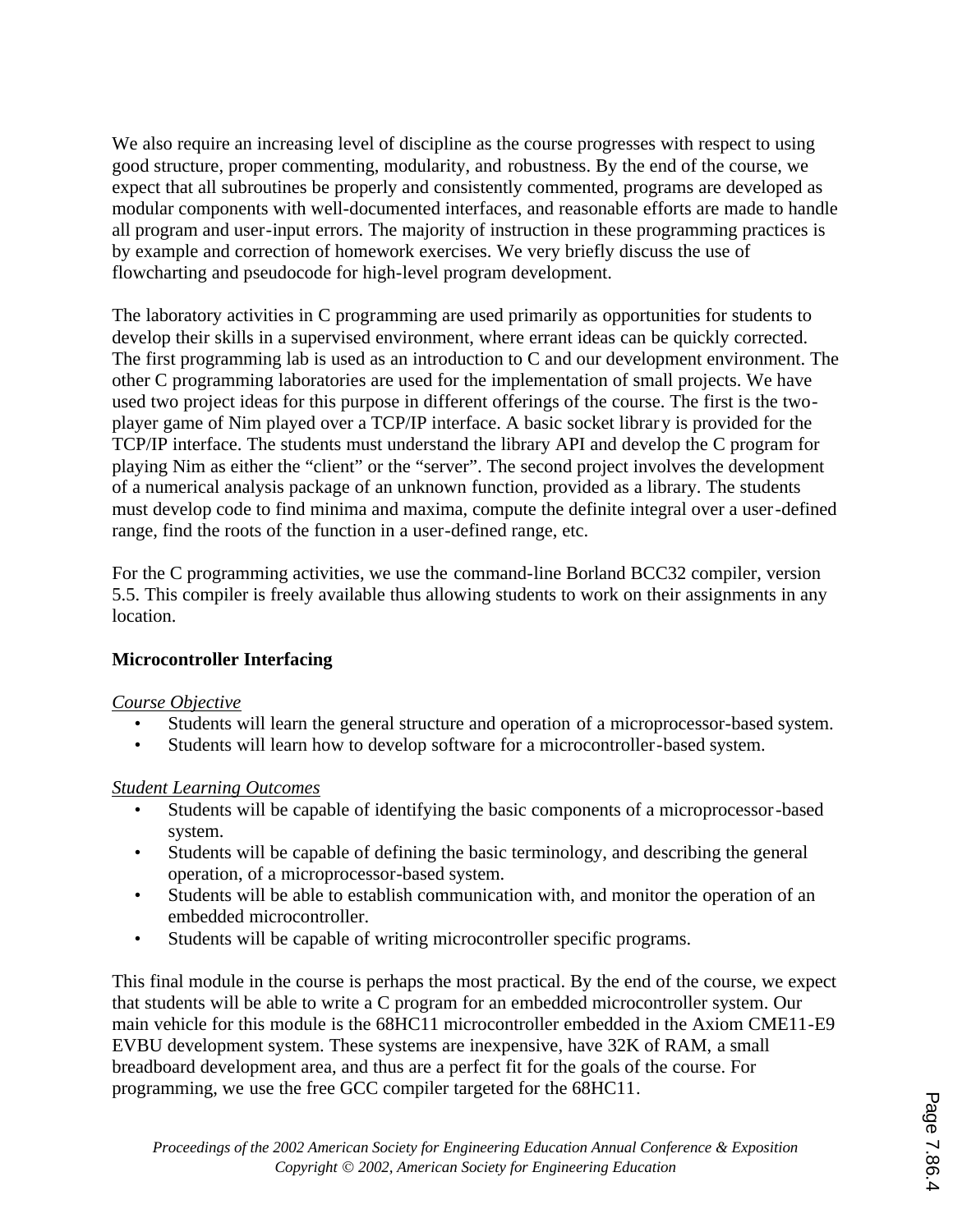We also require an increasing level of discipline as the course progresses with respect to using good structure, proper commenting, modularity, and robustness. By the end of the course, we expect that all subroutines be properly and consistently commented, programs are developed as modular components with well-documented interfaces, and reasonable efforts are made to handle all program and user-input errors. The majority of instruction in these programming practices is by example and correction of homework exercises. We very briefly discuss the use of flowcharting and pseudocode for high-level program development.

The laboratory activities in C programming are used primarily as opportunities for students to develop their skills in a supervised environment, where errant ideas can be quickly corrected. The first programming lab is used as an introduction to C and our development environment. The other C programming laboratories are used for the implementation of small projects. We have used two project ideas for this purpose in different offerings of the course. The first is the twoplayer game of Nim played over a TCP/IP interface. A basic socket library is provided for the TCP/IP interface. The students must understand the library API and develop the C program for playing Nim as either the "client" or the "server". The second project involves the development of a numerical analysis package of an unknown function, provided as a library. The students must develop code to find minima and maxima, compute the definite integral over a user-defined range, find the roots of the function in a user-defined range, etc.

For the C programming activities, we use the command-line Borland BCC32 compiler, version 5.5. This compiler is freely available thus allowing students to work on their assignments in any location.

# **Microcontroller Interfacing**

### *Course Objective*

- Students will learn the general structure and operation of a microprocessor-based system.
- Students will learn how to develop software for a microcontroller-based system.

### *Student Learning Outcomes*

- Students will be capable of identifying the basic components of a microprocessor-based system.
- Students will be capable of defining the basic terminology, and describing the general operation, of a microprocessor-based system.
- Students will be able to establish communication with, and monitor the operation of an embedded microcontroller.
- Students will be capable of writing microcontroller specific programs.

This final module in the course is perhaps the most practical. By the end of the course, we expect that students will be able to write a C program for an embedded microcontroller system. Our main vehicle for this module is the 68HC11 microcontroller embedded in the Axiom CME11-E9 EVBU development system. These systems are inexpensive, have 32K of RAM, a small breadboard development area, and thus are a perfect fit for the goals of the course. For programming, we use the free GCC compiler targeted for the 68HC11.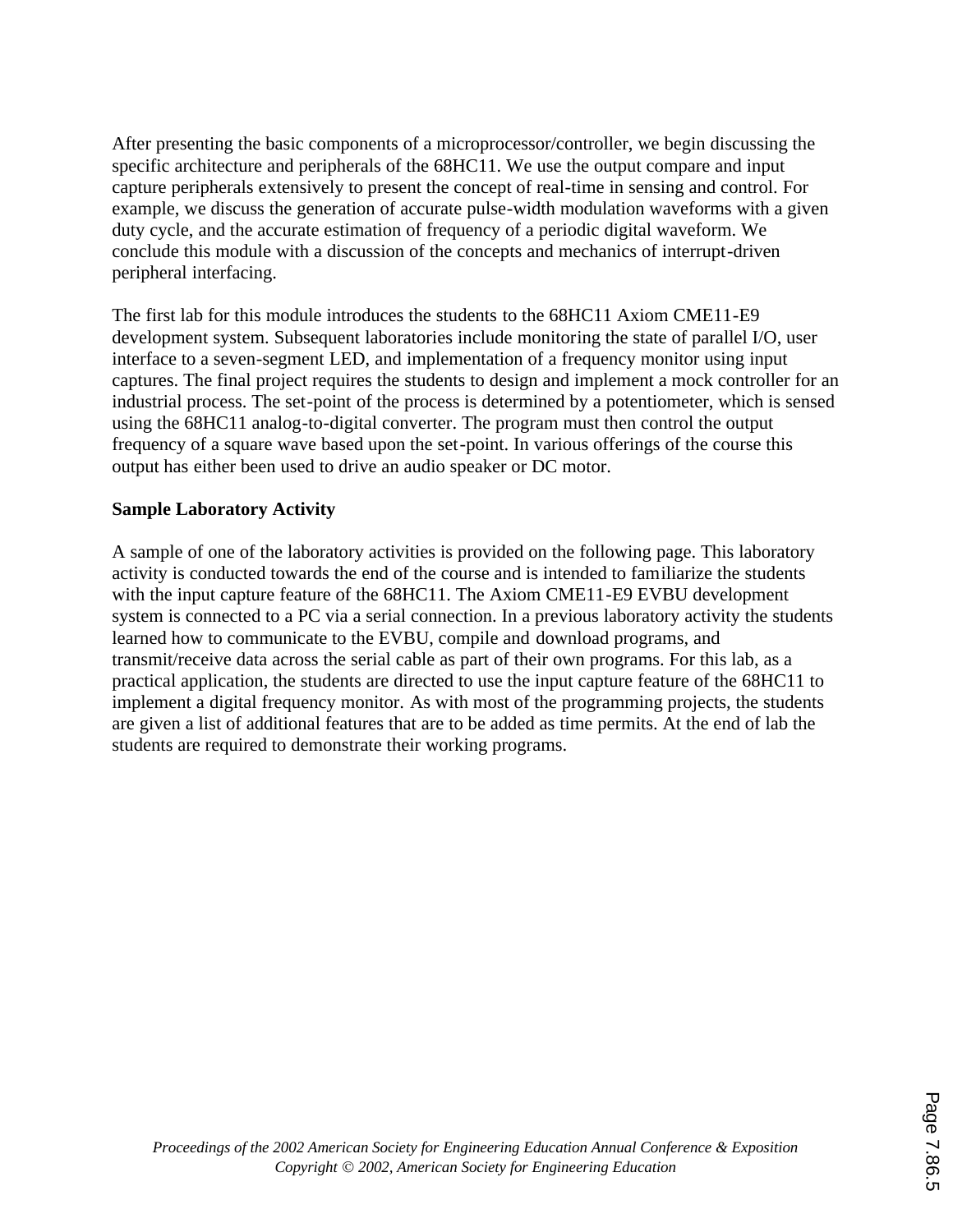After presenting the basic components of a microprocessor/controller, we begin discussing the specific architecture and peripherals of the 68HC11. We use the output compare and input capture peripherals extensively to present the concept of real-time in sensing and control. For example, we discuss the generation of accurate pulse-width modulation waveforms with a given duty cycle, and the accurate estimation of frequency of a periodic digital waveform. We conclude this module with a discussion of the concepts and mechanics of interrupt-driven peripheral interfacing.

The first lab for this module introduces the students to the 68HC11 Axiom CME11-E9 development system. Subsequent laboratories include monitoring the state of parallel I/O, user interface to a seven-segment LED, and implementation of a frequency monitor using input captures. The final project requires the students to design and implement a mock controller for an industrial process. The set-point of the process is determined by a potentiometer, which is sensed using the 68HC11 analog-to-digital converter. The program must then control the output frequency of a square wave based upon the set-point. In various offerings of the course this output has either been used to drive an audio speaker or DC motor.

## **Sample Laboratory Activity**

A sample of one of the laboratory activities is provided on the following page. This laboratory activity is conducted towards the end of the course and is intended to familiarize the students with the input capture feature of the 68HC11. The Axiom CME11-E9 EVBU development system is connected to a PC via a serial connection. In a previous laboratory activity the students learned how to communicate to the EVBU, compile and download programs, and transmit/receive data across the serial cable as part of their own programs. For this lab, as a practical application, the students are directed to use the input capture feature of the 68HC11 to implement a digital frequency monitor. As with most of the programming projects, the students are given a list of additional features that are to be added as time permits. At the end of lab the students are required to demonstrate their working programs.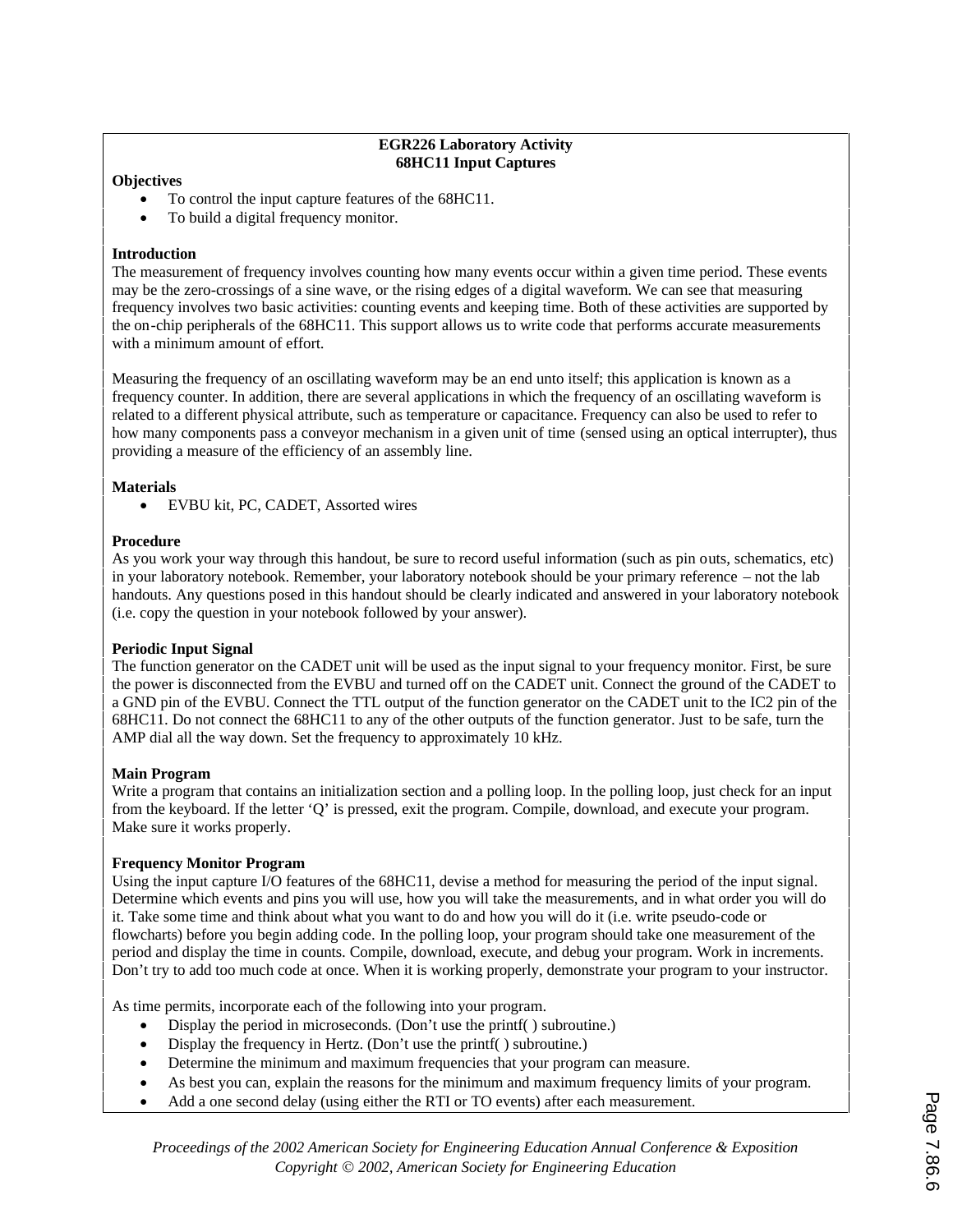#### **EGR226 Laboratory Activity 68HC11 Input Captures**

#### **Objectives**

- To control the input capture features of the 68HC11.
- To build a digital frequency monitor.

#### **Introduction**

The measurement of frequency involves counting how many events occur within a given time period. These events may be the zero-crossings of a sine wave, or the rising edges of a digital waveform. We can see that measuring frequency involves two basic activities: counting events and keeping time. Both of these activities are supported by the on-chip peripherals of the 68HC11. This support allows us to write code that performs accurate measurements with a minimum amount of effort.

Measuring the frequency of an oscillating waveform may be an end unto itself; this application is known as a frequency counter. In addition, there are several applications in which the frequency of an oscillating waveform is related to a different physical attribute, such as temperature or capacitance. Frequency can also be used to refer to how many components pass a conveyor mechanism in a given unit of time (sensed using an optical interrupter), thus providing a measure of the efficiency of an assembly line.

#### **Materials**

· EVBU kit, PC, CADET, Assorted wires

#### **Procedure**

As you work your way through this handout, be sure to record useful information (such as pin outs, schematics, etc) in your laboratory notebook. Remember, your laboratory notebook should be your primary reference – not the lab handouts. Any questions posed in this handout should be clearly indicated and answered in your laboratory notebook (i.e. copy the question in your notebook followed by your answer).

#### **Periodic Input Signal**

The function generator on the CADET unit will be used as the input signal to your frequency monitor. First, be sure the power is disconnected from the EVBU and turned off on the CADET unit. Connect the ground of the CADET to a GND pin of the EVBU. Connect the TTL output of the function generator on the CADET unit to the IC2 pin of the 68HC11. Do not connect the 68HC11 to any of the other outputs of the function generator. Just to be safe, turn the AMP dial all the way down. Set the frequency to approximately 10 kHz.

#### **Main Program**

Write a program that contains an initialization section and a polling loop. In the polling loop, just check for an input from the keyboard. If the letter 'Q' is pressed, exit the program. Compile, download, and execute your program. Make sure it works properly.

#### **Frequency Monitor Program**

Using the input capture I/O features of the 68HC11, devise a method for measuring the period of the input signal. Determine which events and pins you will use, how you will take the measurements, and in what order you will do it. Take some time and think about what you want to do and how you will do it (i.e. write pseudo-code or flowcharts) before you begin adding code. In the polling loop, your program should take one measurement of the period and display the time in counts. Compile, download, execute, and debug your program. Work in increments. Don't try to add too much code at once. When it is working properly, demonstrate your program to your instructor.

As time permits, incorporate each of the following into your program.

- Display the period in microseconds. (Don't use the printf() subroutine.)
- Display the frequency in Hertz. (Don't use the printf() subroutine.)
- Determine the minimum and maximum frequencies that your program can measure.
- · As best you can, explain the reasons for the minimum and maximum frequency limits of your program.
- Add a one second delay (using either the RTI or TO events) after each measurement.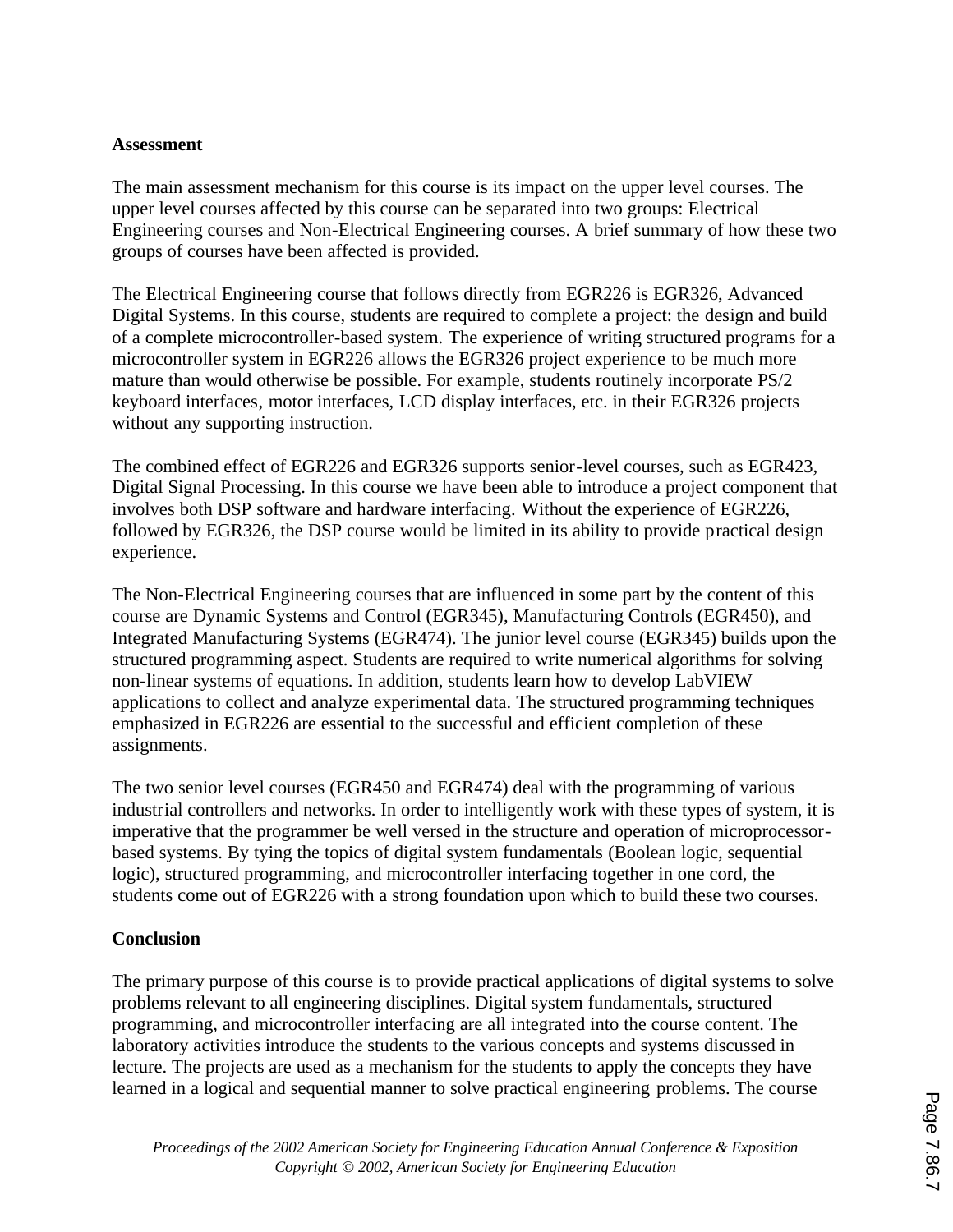### **Assessment**

The main assessment mechanism for this course is its impact on the upper level courses. The upper level courses affected by this course can be separated into two groups: Electrical Engineering courses and Non-Electrical Engineering courses. A brief summary of how these two groups of courses have been affected is provided.

The Electrical Engineering course that follows directly from EGR226 is EGR326, Advanced Digital Systems. In this course, students are required to complete a project: the design and build of a complete microcontroller-based system. The experience of writing structured programs for a microcontroller system in EGR226 allows the EGR326 project experience to be much more mature than would otherwise be possible. For example, students routinely incorporate PS/2 keyboard interfaces, motor interfaces, LCD display interfaces, etc. in their EGR326 projects without any supporting instruction.

The combined effect of EGR226 and EGR326 supports senior-level courses, such as EGR423, Digital Signal Processing. In this course we have been able to introduce a project component that involves both DSP software and hardware interfacing. Without the experience of EGR226, followed by EGR326, the DSP course would be limited in its ability to provide practical design experience.

The Non-Electrical Engineering courses that are influenced in some part by the content of this course are Dynamic Systems and Control (EGR345), Manufacturing Controls (EGR450), and Integrated Manufacturing Systems (EGR474). The junior level course (EGR345) builds upon the structured programming aspect. Students are required to write numerical algorithms for solving non-linear systems of equations. In addition, students learn how to develop LabVIEW applications to collect and analyze experimental data. The structured programming techniques emphasized in EGR226 are essential to the successful and efficient completion of these assignments.

The two senior level courses (EGR450 and EGR474) deal with the programming of various industrial controllers and networks. In order to intelligently work with these types of system, it is imperative that the programmer be well versed in the structure and operation of microprocessorbased systems. By tying the topics of digital system fundamentals (Boolean logic, sequential logic), structured programming, and microcontroller interfacing together in one cord, the students come out of EGR226 with a strong foundation upon which to build these two courses.

### **Conclusion**

The primary purpose of this course is to provide practical applications of digital systems to solve problems relevant to all engineering disciplines. Digital system fundamentals, structured programming, and microcontroller interfacing are all integrated into the course content. The laboratory activities introduce the students to the various concepts and systems discussed in lecture. The projects are used as a mechanism for the students to apply the concepts they have learned in a logical and sequential manner to solve practical engineering problems. The course